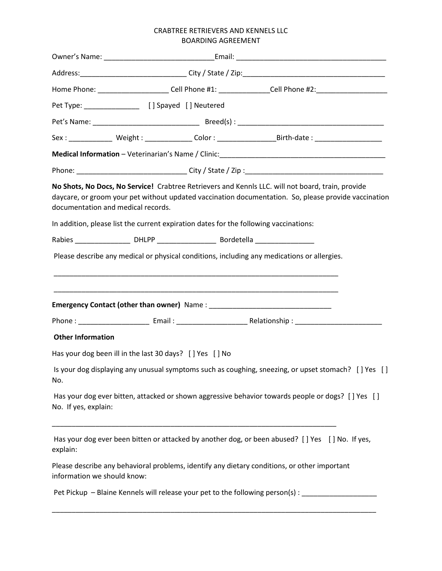## CRABTREE RETRIEVERS AND KENNELS LLC BOARDING AGREEMENT

|                             |                                                         |  | Home Phone: _______________________Cell Phone #1: _______________Cell Phone #2:_____________________                                                                                                                                                                                               |  |
|-----------------------------|---------------------------------------------------------|--|----------------------------------------------------------------------------------------------------------------------------------------------------------------------------------------------------------------------------------------------------------------------------------------------------|--|
|                             | Pet Type: __________________ [ ] Spayed [ ] Neutered    |  |                                                                                                                                                                                                                                                                                                    |  |
|                             |                                                         |  |                                                                                                                                                                                                                                                                                                    |  |
|                             |                                                         |  |                                                                                                                                                                                                                                                                                                    |  |
|                             |                                                         |  |                                                                                                                                                                                                                                                                                                    |  |
|                             |                                                         |  |                                                                                                                                                                                                                                                                                                    |  |
|                             | documentation and medical records.                      |  | No Shots, No Docs, No Service! Crabtree Retrievers and Kennls LLC. will not board, train, provide<br>daycare, or groom your pet without updated vaccination documentation. So, please provide vaccination<br>In addition, please list the current expiration dates for the following vaccinations: |  |
|                             |                                                         |  |                                                                                                                                                                                                                                                                                                    |  |
|                             |                                                         |  | Please describe any medical or physical conditions, including any medications or allergies.                                                                                                                                                                                                        |  |
|                             |                                                         |  |                                                                                                                                                                                                                                                                                                    |  |
| <b>Other Information</b>    |                                                         |  |                                                                                                                                                                                                                                                                                                    |  |
|                             | Has your dog been ill in the last 30 days? [] Yes [] No |  |                                                                                                                                                                                                                                                                                                    |  |
| No.                         |                                                         |  | Is your dog displaying any unusual symptoms such as coughing, sneezing, or upset stomach? [] Yes []                                                                                                                                                                                                |  |
| No. If yes, explain:        |                                                         |  | Has your dog ever bitten, attacked or shown aggressive behavior towards people or dogs? [] Yes []                                                                                                                                                                                                  |  |
| explain:                    |                                                         |  | Has your dog ever been bitten or attacked by another dog, or been abused? [] Yes [] No. If yes,                                                                                                                                                                                                    |  |
| information we should know: |                                                         |  | Please describe any behavioral problems, identify any dietary conditions, or other important                                                                                                                                                                                                       |  |
|                             |                                                         |  | Pet Pickup – Blaine Kennels will release your pet to the following person(s): _____________________                                                                                                                                                                                                |  |
|                             |                                                         |  | <u> 1989 - Johann John Stoff, deutscher Stoffen und der Stoffen und der Stoffen und der Stoffen und der Stoffen</u>                                                                                                                                                                                |  |